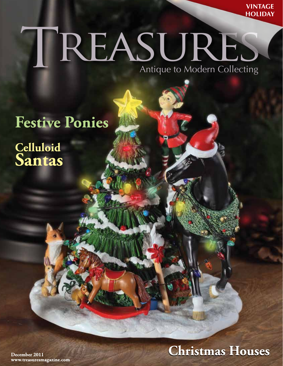**VINTAGE HOLIDAY** 

## TREASURES Antique to Modern Collecting

## **Festive Ponies**

Celluloid<br>Santas

**Christmas Houses** 

December 2011 www.treasuresmagazine.com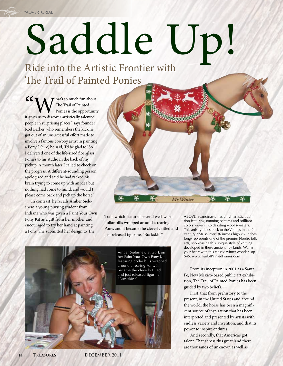## Saddle Up

Ride into the Artistic Frontier with The Trail of Painted Ponies

**CCN** The Trail of Painted<br>
Intervalse is the opportunity<br>
it gives us to discover artistically talented The Trail of Painted Ponies is the opportunity people in surprising places," says founder Rod Barker, who remembers the kick he got out of an unsuccessful effort made to involve a famous cowboy artist in painting a Pony. "'Sure,' he said, 'I'd be glad to.' So I delivered one of the life-sized fiberglass Ponies to his studio in the back of my pickup. A month later I called to check on the progress. A different-sounding person apologized and said he had racked his brain trying to come up with an idea but nothing had come to mind, and would I please come back and pick up the horse."

In contrast, he recalls Amber Sielesnew, a young nursing student from Indiana who was given a Paint Your Own Pony Kit as a gift from her mother and encouraged to try her hand at painting a Pony. She submitted her design to The



Trail, which featured several well-worn dollar bills wrapped around a rearing Pony, and it became the cleverly titled and just released figurine, "Buckskin."



ABOVE: Scandinavia has a rich artistic tradition featuring stunning patterns and brilliant colors woven into dazzling wool sweaters. This artistry dates back to the Vikings in the 9th century. "Mr. Winter" (6 inches high x 7 inches long) represents one of the premier Nordic folk arts, showcasing this unique style of knitting developed in these ancient, icy lands. Warm your heart with this classic winter wonder, srp \$45. www.TrailofPaintedPonies.com

From its inception in 2001 as a Santa Fe, New Mexico-based public art exhibition, The Trail of Painted Ponies has been guided by two beliefs.

First, that from prehistory to the present, in the United States and around the world, the horse has been a magnificent source of inspiration that has been interpreted and presented by artists with endless variety and invention, and that its power to inspire endures.

And secondly, that America's got talent. That across this great land there are thousands of unknown as well as

14 TREASURES DECEMBER 2011 DECEMBER 2011